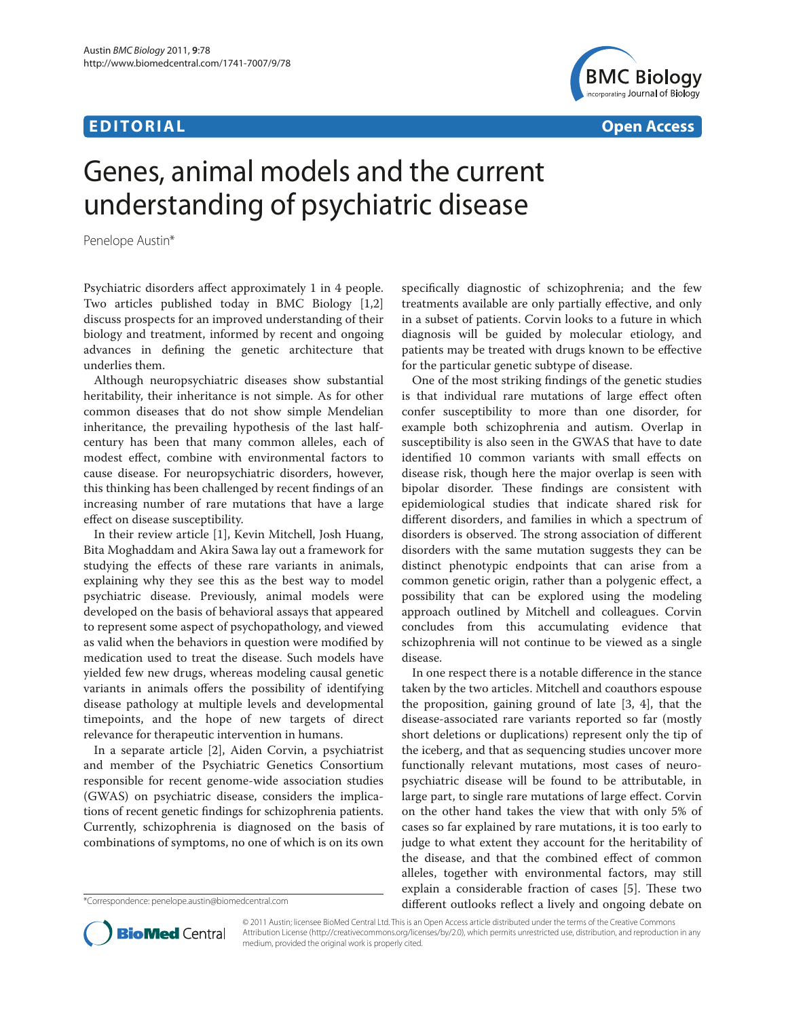## **E D I TO R I A L Open Access**



# Genes, animal models and the current understanding of psychiatric disease

Penelope Austin\*

Psychiatric disorders affect approximately 1 in 4 people. Two articles published today in BMC Biology [1,2] discuss prospects for an improved understanding of their biology and treatment, informed by recent and ongoing advances in defining the genetic architecture that underlies them.

Although neuropsychiatric diseases show substantial heritability, their inheritance is not simple. As for other common diseases that do not show simple Mendelian inheritance, the prevailing hypothesis of the last halfcentury has been that many common alleles, each of modest effect, combine with environmental factors to cause disease. For neuropsychiatric disorders, however, this thinking has been challenged by recent findings of an increasing number of rare mutations that have a large effect on disease susceptibility.

In their review article [1], Kevin Mitchell, Josh Huang, Bita Moghaddam and Akira Sawa lay out a framework for studying the effects of these rare variants in animals, explaining why they see this as the best way to model psychiatric disease. Previously, animal models were developed on the basis of behavioral assays that appeared to represent some aspect of psychopathology, and viewed as valid when the behaviors in question were modified by medication used to treat the disease. Such models have yielded few new drugs, whereas modeling causal genetic variants in animals offers the possibility of identifying disease pathology at multiple levels and developmental timepoints, and the hope of new targets of direct relevance for therapeutic intervention in humans.

In a separate article [2], Aiden Corvin, a psychiatrist and member of the Psychiatric Genetics Consortium responsible for recent genome-wide association studies (GWAS) on psychiatric disease, considers the implications of recent genetic findings for schizophrenia patients. Currently, schizophrenia is diagnosed on the basis of combinations of symptoms, no one of which is on its own

specifically diagnostic of schizophrenia; and the few treatments available are only partially effective, and only in a subset of patients. Corvin looks to a future in which diagnosis will be guided by molecular etiology, and patients may be treated with drugs known to be effective for the particular genetic subtype of disease.

One of the most striking findings of the genetic studies is that individual rare mutations of large effect often confer susceptibility to more than one disorder, for example both schizophrenia and autism. Overlap in susceptibility is also seen in the GWAS that have to date identified 10 common variants with small effects on disease risk, though here the major overlap is seen with bipolar disorder. These findings are consistent with epidemiological studies that indicate shared risk for different disorders, and families in which a spectrum of disorders is observed. The strong association of different disorders with the same mutation suggests they can be distinct phenotypic endpoints that can arise from a common genetic origin, rather than a polygenic effect, a possibility that can be explored using the modeling approach outlined by Mitchell and colleagues. Corvin concludes from this accumulating evidence that schizophrenia will not continue to be viewed as a single disease.

In one respect there is a notable difference in the stance taken by the two articles. Mitchell and coauthors espouse the proposition, gaining ground of late [3, 4], that the disease-associated rare variants reported so far (mostly short deletions or duplications) represent only the tip of the iceberg, and that as sequencing studies uncover more functionally relevant mutations, most cases of neuropsychiatric disease will be found to be attributable, in large part, to single rare mutations of large effect. Corvin on the other hand takes the view that with only 5% of cases so far explained by rare mutations, it is too early to judge to what extent they account for the heritability of the disease, and that the combined effect of common alleles, together with environmental factors, may still explain a considerable fraction of cases [5]. These two different outlooks reflect a lively and ongoing debate on



© 2011 Austin; licensee BioMed Central Ltd. This is an Open Access article distributed under the terms of the Creative Commons Attribution License (http://creativecommons.org/licenses/by/2.0), which permits unrestricted use, distribution, and reproduction in any medium, provided the original work is properly cited.

<sup>\*</sup>Correspondence: penelope.austin@biomedcentral.com